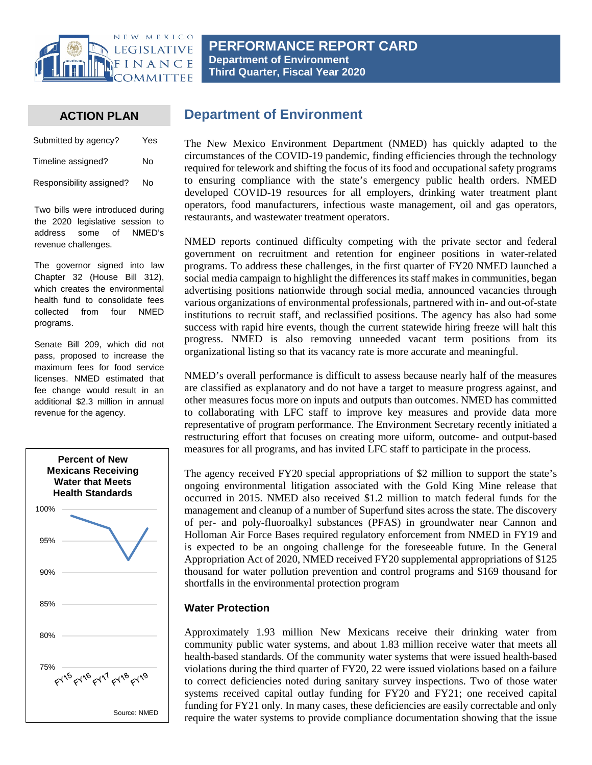

**PERFORMANCE REPORT CARD Department of Environment Third Quarter, Fiscal Year 2020**

## **ACTION PLAN**

| Submitted by agency?     | Yes |
|--------------------------|-----|
| Timeline assigned?       | No  |
| Responsibility assigned? | No  |

Two bills were introduced during the 2020 legislative session to address some of NMED's revenue challenges.

The governor signed into law Chapter 32 (House Bill 312), which creates the environmental health fund to consolidate fees collected from four NMED programs.

Senate Bill 209, which did not pass, proposed to increase the maximum fees for food service licenses. NMED estimated that fee change would result in an additional \$2.3 million in annual revenue for the agency.



# **Department of Environment**

The New Mexico Environment Department (NMED) has quickly adapted to the circumstances of the COVID-19 pandemic, finding efficiencies through the technology required for telework and shifting the focus of its food and occupational safety programs to ensuring compliance with the state's emergency public health orders. NMED developed COVID-19 resources for all employers, drinking water treatment plant operators, food manufacturers, infectious waste management, oil and gas operators, restaurants, and wastewater treatment operators.

NMED reports continued difficulty competing with the private sector and federal government on recruitment and retention for engineer positions in water-related programs. To address these challenges, in the first quarter of FY20 NMED launched a social media campaign to highlight the differences its staff makes in communities, began advertising positions nationwide through social media, announced vacancies through various organizations of environmental professionals, partnered with in- and out-of-state institutions to recruit staff, and reclassified positions. The agency has also had some success with rapid hire events, though the current statewide hiring freeze will halt this progress. NMED is also removing unneeded vacant term positions from its organizational listing so that its vacancy rate is more accurate and meaningful.

NMED's overall performance is difficult to assess because nearly half of the measures are classified as explanatory and do not have a target to measure progress against, and other measures focus more on inputs and outputs than outcomes. NMED has committed to collaborating with LFC staff to improve key measures and provide data more representative of program performance. The Environment Secretary recently initiated a restructuring effort that focuses on creating more uiform, outcome- and output-based measures for all programs, and has invited LFC staff to participate in the process.

The agency received FY20 special appropriations of \$2 million to support the state's ongoing environmental litigation associated with the Gold King Mine release that occurred in 2015. NMED also received \$1.2 million to match federal funds for the management and cleanup of a number of Superfund sites across the state. The discovery of per- and poly-fluoroalkyl substances (PFAS) in groundwater near Cannon and Holloman Air Force Bases required regulatory enforcement from NMED in FY19 and is expected to be an ongoing challenge for the foreseeable future. In the General Appropriation Act of 2020, NMED received FY20 supplemental appropriations of \$125 thousand for water pollution prevention and control programs and \$169 thousand for shortfalls in the environmental protection program

## **Water Protection**

Approximately 1.93 million New Mexicans receive their drinking water from community public water systems, and about 1.83 million receive water that meets all health-based standards. Of the community water systems that were issued health-based violations during the third quarter of FY20, 22 were issued violations based on a failure to correct deficiencies noted during sanitary survey inspections. Two of those water systems received capital outlay funding for FY20 and FY21; one received capital funding for FY21 only. In many cases, these deficiencies are easily correctable and only require the water systems to provide compliance documentation showing that the issue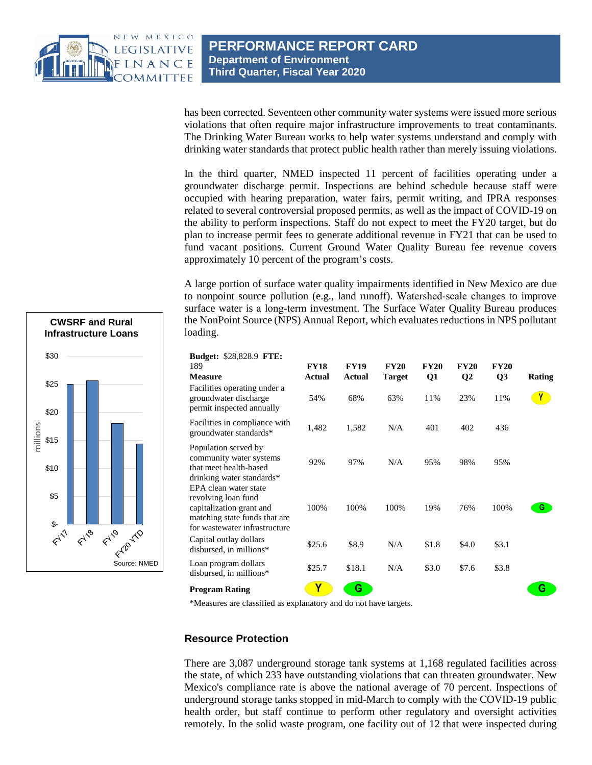

has been corrected. Seventeen other community water systems were issued more serious violations that often require major infrastructure improvements to treat contaminants. The Drinking Water Bureau works to help water systems understand and comply with drinking water standards that protect public health rather than merely issuing violations.

In the third quarter, NMED inspected 11 percent of facilities operating under a groundwater discharge permit. Inspections are behind schedule because staff were occupied with hearing preparation, water fairs, permit writing, and IPRA responses related to several controversial proposed permits, as well as the impact of COVID-19 on the ability to perform inspections. Staff do not expect to meet the FY20 target, but do plan to increase permit fees to generate additional revenue in FY21 that can be used to fund vacant positions. Current Ground Water Quality Bureau fee revenue covers approximately 10 percent of the program's costs.

A large portion of surface water quality impairments identified in New Mexico are due to nonpoint source pollution (e.g., land runoff). Watershed‐scale changes to improve surface water is a long-term investment. The Surface Water Quality Bureau produces the NonPoint Source (NPS) Annual Report, which evaluates reductions in NPS pollutant loading.

| <b>Budget: \$28,828.9 FTE:</b>                                                                                                             |             |             |               |             |                |                |               |
|--------------------------------------------------------------------------------------------------------------------------------------------|-------------|-------------|---------------|-------------|----------------|----------------|---------------|
| 189                                                                                                                                        | <b>FY18</b> | <b>FY19</b> | <b>FY20</b>   | <b>FY20</b> | <b>FY20</b>    | <b>FY20</b>    |               |
| <b>Measure</b>                                                                                                                             | Actual      | Actual      | <b>Target</b> | Q1          | Q <sub>2</sub> | Q <sub>3</sub> | <b>Rating</b> |
| Facilities operating under a<br>groundwater discharge<br>permit inspected annually                                                         | 54%         | 68%         | 63%           | 11%         | 23%            | 11%            |               |
| Facilities in compliance with<br>groundwater standards*                                                                                    | 1,482       | 1,582       | N/A           | 401         | 402            | 436            |               |
| Population served by<br>community water systems<br>that meet health-based<br>drinking water standards*                                     | 92%         | 97%         | N/A           | 95%         | 98%            | 95%            |               |
| EPA clean water state<br>revolving loan fund<br>capitalization grant and<br>matching state funds that are<br>for wastewater infrastructure | 100%        | 100%        | 100%          | 19%         | 76%            | 100%           | G             |
| Capital outlay dollars<br>disbursed, in millions*                                                                                          | \$25.6      | \$8.9       | N/A           | \$1.8       | \$4.0          | \$3.1          |               |
| Loan program dollars<br>disbursed, in millions*                                                                                            | \$25.7      | \$18.1      | N/A           | \$3.0       | \$7.6          | \$3.8          |               |
| <b>Program Rating</b>                                                                                                                      | Y           | G           |               |             |                |                | G             |

\*Measures are classified as explanatory and do not have targets.

#### **Resource Protection**

There are 3,087 underground storage tank systems at 1,168 regulated facilities across the state, of which 233 have outstanding violations that can threaten groundwater. New Mexico's compliance rate is above the national average of 70 percent. Inspections of underground storage tanks stopped in mid-March to comply with the COVID-19 public health order, but staff continue to perform other regulatory and oversight activities remotely. In the solid waste program, one facility out of 12 that were inspected during

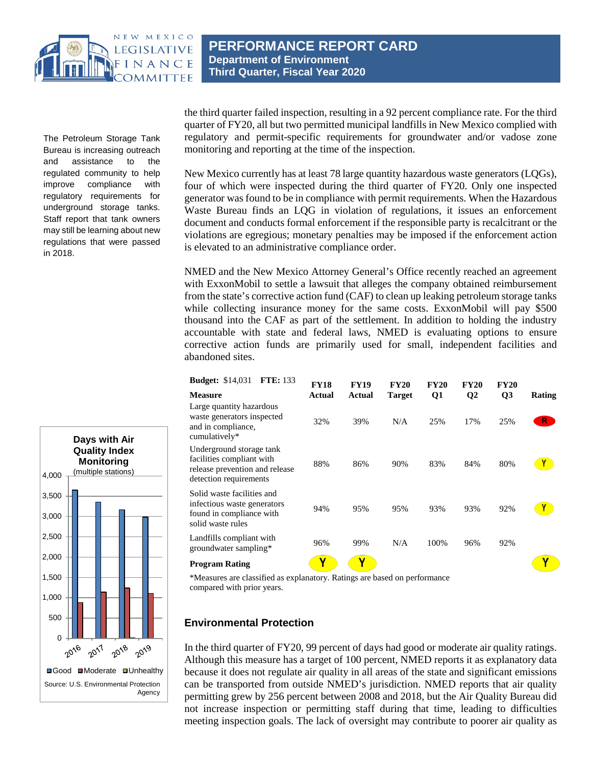

The Petroleum Storage Tank Bureau is increasing outreach and assistance to the regulated community to help improve compliance with regulatory requirements for underground storage tanks. Staff report that tank owners may still be learning about new regulations that were passed in 2018.

**PERFORMANCE REPORT CARD Department of Environment Third Quarter, Fiscal Year 2020**

the third quarter failed inspection, resulting in a 92 percent compliance rate. For the third quarter of FY20, all but two permitted municipal landfills in New Mexico complied with regulatory and permit-specific requirements for groundwater and/or vadose zone monitoring and reporting at the time of the inspection.

New Mexico currently has at least 78 large quantity hazardous waste generators (LQGs), four of which were inspected during the third quarter of FY20. Only one inspected generator was found to be in compliance with permit requirements. When the Hazardous Waste Bureau finds an LQG in violation of regulations, it issues an enforcement document and conducts formal enforcement if the responsible party is recalcitrant or the violations are egregious; monetary penalties may be imposed if the enforcement action is elevated to an administrative compliance order.

NMED and the New Mexico Attorney General's Office recently reached an agreement with ExxonMobil to settle a lawsuit that alleges the company obtained reimbursement from the state's corrective action fund (CAF) to clean up leaking petroleum storage tanks while collecting insurance money for the same costs. ExxonMobil will pay \$500 thousand into the CAF as part of the settlement. In addition to holding the industry accountable with state and federal laws, NMED is evaluating options to ensure corrective action funds are primarily used for small, independent facilities and abandoned sites.

| <b>FTE: 133</b><br><b>Budget: \$14,031</b>                                                                        | <b>FY18</b> | <b>FY19</b> | <b>FY20</b>   | <b>FY20</b>    | <b>FY20</b>  | <b>FY20</b>    |             |
|-------------------------------------------------------------------------------------------------------------------|-------------|-------------|---------------|----------------|--------------|----------------|-------------|
| <b>Measure</b>                                                                                                    | Actual      | Actual      | <b>Target</b> | Q <sub>1</sub> | $\mathbf{Q}$ | Q <sub>3</sub> | Rating      |
| Large quantity hazardous<br>waste generators inspected<br>and in compliance,<br>cumulatively*                     | 32%         | 39%         | N/A           | 25%            | 17%          | 25%            | $R_{\odot}$ |
| Underground storage tank<br>facilities compliant with<br>release prevention and release<br>detection requirements | 88%         | 86%         | 90%           | 83%            | 84%          | 80%            |             |
| Solid waste facilities and<br>infectious waste generators<br>found in compliance with<br>solid waste rules        | 94%         | 95%         | 95%           | 93%            | 93%          | 92%            |             |
| Landfills compliant with<br>groundwater sampling*                                                                 | 96%         | 99%         | N/A           | 100%           | 96%          | 92%            |             |
| <b>Program Rating</b>                                                                                             | v           |             |               |                |              |                |             |

\*Measures are classified as explanatory. Ratings are based on performance compared with prior years.

## **Environmental Protection**

In the third quarter of FY20, 99 percent of days had good or moderate air quality ratings. Although this measure has a target of 100 percent, NMED reports it as explanatory data because it does not regulate air quality in all areas of the state and significant emissions can be transported from outside NMED's jurisdiction. NMED reports that air quality permitting grew by 256 percent between 2008 and 2018, but the Air Quality Bureau did not increase inspection or permitting staff during that time, leading to difficulties meeting inspection goals. The lack of oversight may contribute to poorer air quality as